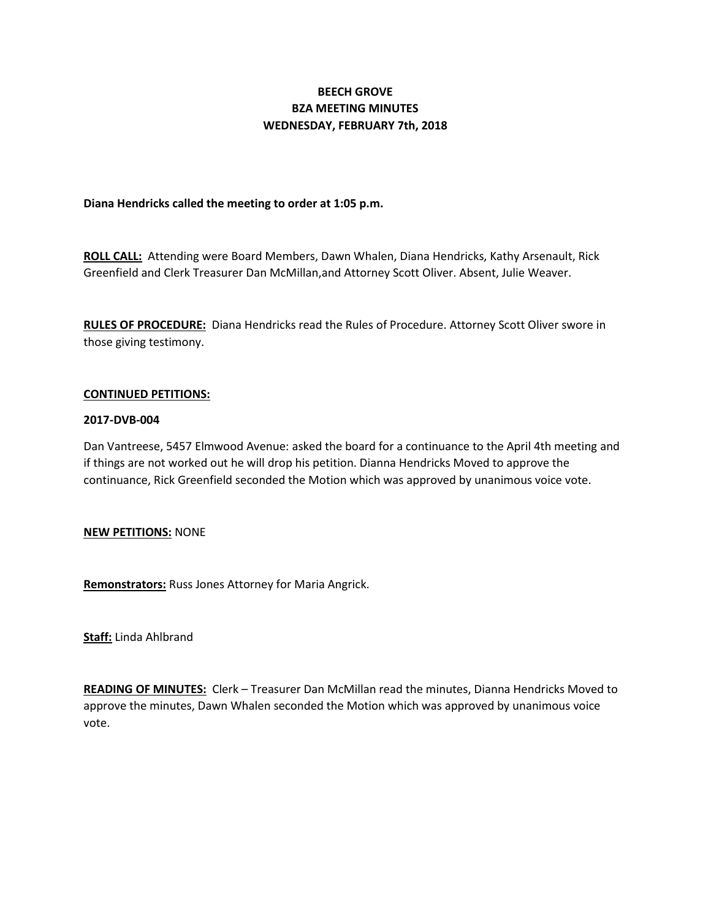# **BEECH GROVE BZA MEETING MINUTES WEDNESDAY, FEBRUARY 7th, 2018**

## **Diana Hendricks called the meeting to order at 1:05 p.m.**

**ROLL CALL:** Attending were Board Members, Dawn Whalen, Diana Hendricks, Kathy Arsenault, Rick Greenfield and Clerk Treasurer Dan McMillan,and Attorney Scott Oliver. Absent, Julie Weaver.

**RULES OF PROCEDURE:** Diana Hendricks read the Rules of Procedure. Attorney Scott Oliver swore in those giving testimony.

### **CONTINUED PETITIONS:**

### **2017-DVB-004**

Dan Vantreese, 5457 Elmwood Avenue: asked the board for a continuance to the April 4th meeting and if things are not worked out he will drop his petition. Dianna Hendricks Moved to approve the continuance, Rick Greenfield seconded the Motion which was approved by unanimous voice vote.

### **NEW PETITIONS:** NONE

**Remonstrators:** Russ Jones Attorney for Maria Angrick.

**Staff:** Linda Ahlbrand

**READING OF MINUTES:** Clerk – Treasurer Dan McMillan read the minutes, Dianna Hendricks Moved to approve the minutes, Dawn Whalen seconded the Motion which was approved by unanimous voice vote.